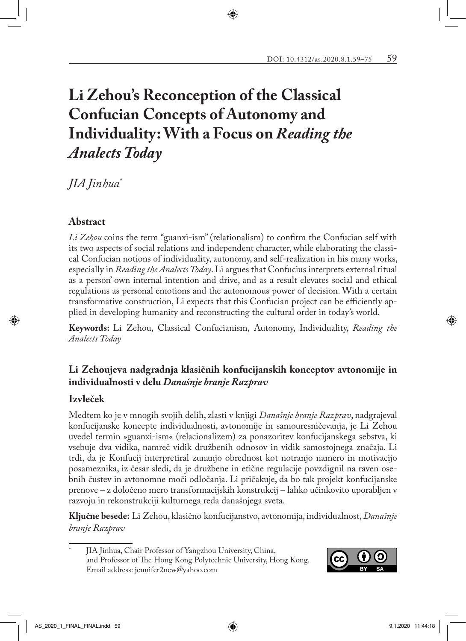# **Li Zehou's Reconception of the Classical Confucian Concepts of Autonomy and Individuality: With a Focus on** *Reading the Analects Today*

#### *JIA Jinhua\* 12*

### **Abstract**

*Li Zehou* coins the term "guanxi-ism" (relationalism) to confirm the Confucian self with its two aspects of social relations and independent character, while elaborating the classical Confucian notions of individuality, autonomy, and self-realization in his many works, especially in *Reading the Analects Today*. Li argues that Confucius interprets external ritual as a person' own internal intention and drive, and as a result elevates social and ethical regulations as personal emotions and the autonomous power of decision. With a certain transformative construction, Li expects that this Confucian project can be efficiently applied in developing humanity and reconstructing the cultural order in today's world.

**Keywords:** Li Zehou, Classical Confucianism, Autonomy, Individuality, *Reading the Analects Today*

### **Li Zehoujeva nadgradnja klasičnih konfucijanskih konceptov avtonomije in individualnosti v delu** *Današnje branje Razprav*

#### **Izvleček**

Medtem ko je v mnogih svojih delih, zlasti v knjigi *Današnje branje Razprav*, nadgrajeval konfucijanske koncepte individualnosti, avtonomije in samouresničevanja, je Li Zehou uvedel termin »guanxi-ism« (relacionalizem) za ponazoritev konfucijanskega sebstva, ki vsebuje dva vidika, namreč vidik družbenih odnosov in vidik samostojnega značaja. Li trdi, da je Konfucij interpretiral zunanjo obrednost kot notranjo namero in motivacijo posameznika, iz česar sledi, da je družbene in etične regulacije povzdignil na raven osebnih čustev in avtonomne moči odločanja. Li pričakuje, da bo tak projekt konfucijanske prenove – z določeno mero transformacijskih konstrukcij – lahko učinkovito uporabljen v razvoju in rekonstrukciji kulturnega reda današnjega sveta.

**Ključne besede:** Li Zehou, klasično konfucijanstvo, avtonomija, individualnost, *Današnje branje Razprav*

JIA Jinhua, Chair Professor of Yangzhou University, China, and Professor of The Hong Kong Polytechnic University, Hong Kong. Email address: jennifer2new@yahoo.com

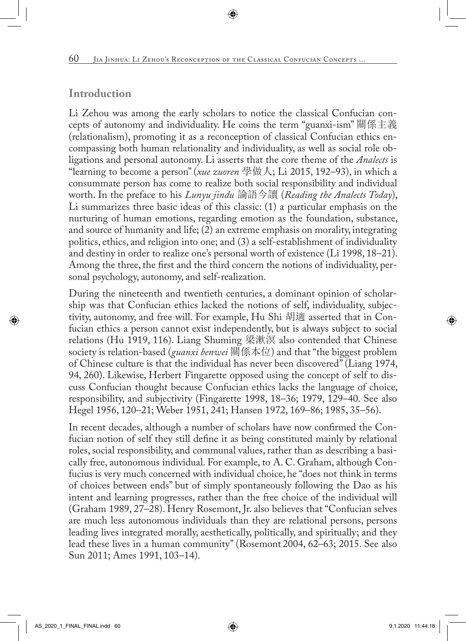# **Introduction**

Li Zehou was among the early scholars to notice the classical Confucian concepts of autonomy and individuality. He coins the term "guanxi-ism" 關係主義 (relationalism), promoting it as a reconception of classical Confucian ethics encompassing both human relationality and individuality, as well as social role obligations and personal autonomy. Li asserts that the core theme of the *Analects* is "learning to become a person" (*xue zuoren* 學做人; Li 2015, 192–93), in which a consummate person has come to realize both social responsibility and individual worth. In the preface to his *Lunyu jindu* 論語今讀 (*Reading the Analects Today*), Li summarizes three basic ideas of this classic: (1) a particular emphasis on the nurturing of human emotions, regarding emotion as the foundation, substance, and source of humanity and life; (2) an extreme emphasis on morality, integrating politics, ethics, and religion into one; and (3) a self-establishment of individuality and destiny in order to realize one's personal worth of existence (Li 1998, 18–21). Among the three, the first and the third concern the notions of individuality, personal psychology, autonomy, and self-realization.

During the nineteenth and twentieth centuries, a dominant opinion of scholarship was that Confucian ethics lacked the notions of self, individuality, subjectivity, autonomy, and free will. For example, Hu Shi 胡適 asserted that in Confucian ethics a person cannot exist independently, but is always subject to social relations (Hu 1919, 116). Liang Shuming 梁漱溟 also contended that Chinese society is relation-based (*guanxi benwei* 關係本位) and that "the biggest problem of Chinese culture is that the individual has never been discovered" (Liang 1974, 94, 260). Likewise, Herbert Fingarette opposed using the concept of self to discuss Confucian thought because Confucian ethics lacks the language of choice, responsibility, and subjectivity (Fingarette 1998, 18–36; 1979, 129–40. See also Hegel 1956, 120–21; Weber 1951, 241; Hansen 1972, 169–86; 1985, 35–56).

In recent decades, although a number of scholars have now confirmed the Confucian notion of self they still define it as being constituted mainly by relational roles, social responsibility, and communal values, rather than as describing a basically free, autonomous individual. For example, to A. C. Graham, although Confucius is very much concerned with individual choice, he "does not think in terms of choices between ends" but of simply spontaneously following the Dao as his intent and learning progresses, rather than the free choice of the individual will (Graham 1989, 27–28). Henry Rosemont, Jr. also believes that "Confucian selves are much less autonomous individuals than they are relational persons, persons leading lives integrated morally, aesthetically, politically, and spiritually; and they lead these lives in a human community" (Rosemont 2004, 62–63; 2015. See also Sun 2011; Ames 1991, 103–14).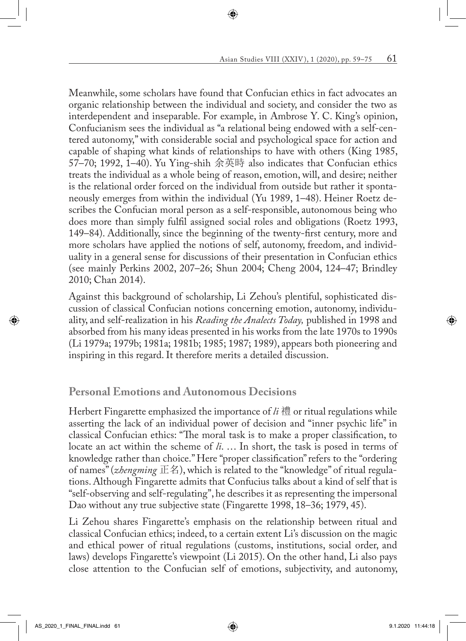Meanwhile, some scholars have found that Confucian ethics in fact advocates an organic relationship between the individual and society, and consider the two as interdependent and inseparable. For example, in Ambrose Y. C. King's opinion, Confucianism sees the individual as "a relational being endowed with a self-centered autonomy," with considerable social and psychological space for action and capable of shaping what kinds of relationships to have with others (King 1985, 57–70; 1992, 1–40). Yu Ying-shih 余英時 also indicates that Confucian ethics treats the individual as a whole being of reason, emotion, will, and desire; neither is the relational order forced on the individual from outside but rather it spontaneously emerges from within the individual (Yu 1989, 1–48). Heiner Roetz describes the Confucian moral person as a self-responsible, autonomous being who does more than simply fulfil assigned social roles and obligations (Roetz 1993, 149–84). Additionally, since the beginning of the twenty-first century, more and more scholars have applied the notions of self, autonomy, freedom, and individuality in a general sense for discussions of their presentation in Confucian ethics (see mainly Perkins 2002, 207–26; Shun 2004; Cheng 2004, 124–47; Brindley 2010; Chan 2014).

Against this background of scholarship, Li Zehou's plentiful, sophisticated discussion of classical Confucian notions concerning emotion, autonomy, individuality, and self-realization in his *Reading the Analects Today,* published in 1998 and absorbed from his many ideas presented in his works from the late 1970s to 1990s (Li 1979a; 1979b; 1981a; 1981b; 1985; 1987; 1989), appears both pioneering and inspiring in this regard. It therefore merits a detailed discussion.

## **Personal Emotions and Autonomous Decisions**

Herbert Fingarette emphasized the importance of *li* 禮 or ritual regulations while asserting the lack of an individual power of decision and "inner psychic life" in classical Confucian ethics: "The moral task is to make a proper classification, to locate an act within the scheme of *li*. … In short, the task is posed in terms of knowledge rather than choice." Here "proper classification" refers to the "ordering of names" (*zhengming* 正名), which is related to the "knowledge" of ritual regulations. Although Fingarette admits that Confucius talks about a kind of self that is "self-observing and self-regulating", he describes it as representing the impersonal Dao without any true subjective state (Fingarette 1998, 18–36; 1979, 45).

Li Zehou shares Fingarette's emphasis on the relationship between ritual and classical Confucian ethics; indeed, to a certain extent Li's discussion on the magic and ethical power of ritual regulations (customs, institutions, social order, and laws) develops Fingarette's viewpoint (Li 2015). On the other hand, Li also pays close attention to the Confucian self of emotions, subjectivity, and autonomy,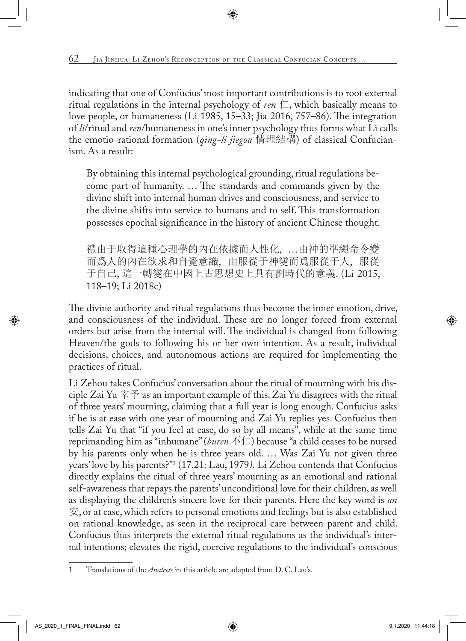indicating that one of Confucius' most important contributions is to root external ritual regulations in the internal psychology of *ren*  $\Box$ , which basically means to love people, or humaneness (Li 1985, 15–33; Jia 2016, 757–86). The integration of *li*/ritual and *ren*/humaneness in one's inner psychology thus forms what Li calls the emotio-rational formation (*qing-li jiegou* 情理結構) of classical Confucianism. As a result:

By obtaining this internal psychological grounding, ritual regulations become part of humanity. … The standards and commands given by the divine shift into internal human drives and consciousness, and service to the divine shifts into service to humans and to self. This transformation possesses epochal significance in the history of ancient Chinese thought.

禮由于取得這種心理學的內在依據而人性化, …由神的準繩命令變 而爲人的內在欲求和自覺意識, 由服從于神變而爲服從于人, 服從 于自己, 這一轉變在中國上古思想史上具有劃時代的意義. (Li 2015, 118–19; Li 2018c)

The divine authority and ritual regulations thus become the inner emotion, drive, and consciousness of the individual. These are no longer forced from external orders but arise from the internal will. The individual is changed from following Heaven/the gods to following his or her own intention. As a result, individual decisions, choices, and autonomous actions are required for implementing the practices of ritual.

Li Zehou takes Confucius' conversation about the ritual of mourning with his disciple Zai Yu  $\tilde{\mathcal{F}}$  as an important example of this. Zai Yu disagrees with the ritual of three years' mourning, claiming that a full year is long enough. Confucius asks if he is at ease with one year of mourning and Zai Yu replies yes. Confucius then tells Zai Yu that "if you feel at ease, do so by all means", while at the same time reprimanding him as "inhumane" (*buren* 不仁) because "a child ceases to be nursed by his parents only when he is three years old. … Was Zai Yu not given three years' love by his parents?"1 (17.21*;* Lau, 1979*).* Li Zehou contends that Confucius directly explains the ritual of three years' mourning as an emotional and rational self-awareness that repays the parents' unconditional love for their children, as well as displaying the children's sincere love for their parents. Here the key word is *an* 安, or at ease, which refers to personal emotions and feelings but is also established on rational knowledge, as seen in the reciprocal care between parent and child. Confucius thus interprets the external ritual regulations as the individual's internal intentions; elevates the rigid, coercive regulations to the individual's conscious

<sup>1</sup> Translations of the *Analects* in this article are adapted from D. C. Lau's.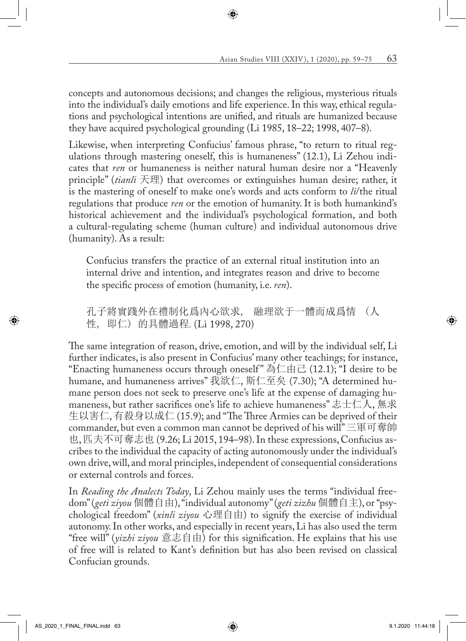concepts and autonomous decisions; and changes the religious, mysterious rituals into the individual's daily emotions and life experience. In this way, ethical regulations and psychological intentions are unified, and rituals are humanized because they have acquired psychological grounding (Li 1985, 18–22; 1998, 407–8).

Likewise, when interpreting Confucius' famous phrase, "to return to ritual regulations through mastering oneself, this is humaneness" (12.1), Li Zehou indicates that *ren* or humaneness is neither natural human desire nor a "Heavenly principle" (*tianli* 天理) that overcomes or extinguishes human desire; rather, it is the mastering of oneself to make one's words and acts conform to *li*/the ritual regulations that produce *ren* or the emotion of humanity. It is both humankind's historical achievement and the individual's psychological formation, and both a cultural-regulating scheme (human culture) and individual autonomous drive (humanity). As a result:

Confucius transfers the practice of an external ritual institution into an internal drive and intention, and integrates reason and drive to become the specific process of emotion (humanity, i.e. *ren*).

孔子將實踐外在禮制化爲內心欲求, 融理欲于一體而成爲情 (人 性, 即仁) 的具體過程*.* (Li 1998, 270)

The same integration of reason, drive, emotion, and will by the individual self, Li further indicates, is also present in Confucius' many other teachings; for instance, "Enacting humaneness occurs through oneself " 為仁由己 (12.1); "I desire to be humane, and humaneness arrives" 我欲仁, 斯仁至矣 (7.30); "A determined humane person does not seek to preserve one's life at the expense of damaging humaneness, but rather sacrifices one's life to achieve humaneness" 志士仁人, 無求 生以害仁, 有殺身以成仁 (15.9); and "The Three Armies can be deprived of their commander, but even a common man cannot be deprived of his will" 三軍可奪帥 也, 匹夫不可奪志也 (9.26; Li 2015, 194–98). In these expressions, Confucius ascribes to the individual the capacity of acting autonomously under the individual's own drive, will, and moral principles, independent of consequential considerations or external controls and forces.

In *Reading the Analects Today*, Li Zehou mainly uses the terms "individual freedom" (*geti ziyou* 個體自由), "individual autonomy" (*geti zizhu* 個體自主), or "psychological freedom" (*xinli ziyou* 心理自由) to signify the exercise of individual autonomy. In other works, and especially in recent years, Li has also used the term "free will" (*yizhi ziyou* 意志自由) for this signification. He explains that his use of free will is related to Kant's definition but has also been revised on classical Confucian grounds.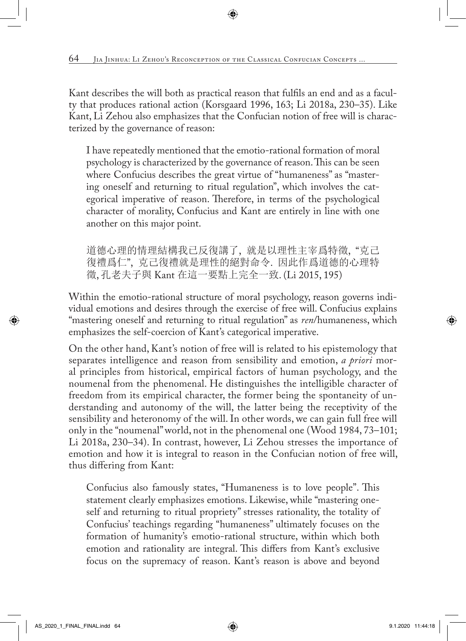Kant describes the will both as practical reason that fulfils an end and as a faculty that produces rational action (Korsgaard 1996, 163; Li 2018a, 230–35). Like Kant, Li Zehou also emphasizes that the Confucian notion of free will is characterized by the governance of reason:

I have repeatedly mentioned that the emotio-rational formation of moral psychology is characterized by the governance of reason. This can be seen where Confucius describes the great virtue of "humaneness" as "mastering oneself and returning to ritual regulation", which involves the categorical imperative of reason. Therefore, in terms of the psychological character of morality, Confucius and Kant are entirely in line with one another on this major point.

道德心理的情理結構我已反復講了, 就是以理性主宰爲特徵, "克己 復禮爲仁", 克己復禮就是理性的絕對命令. 因此作爲道德的心理特 徵, 孔老夫子與 Kant 在這一要點上完全一致. (Li 2015, 195)

Within the emotio-rational structure of moral psychology, reason governs individual emotions and desires through the exercise of free will. Confucius explains "mastering oneself and returning to ritual regulation" as *ren*/humaneness, which emphasizes the self-coercion of Kant's categorical imperative.

On the other hand, Kant's notion of free will is related to his epistemology that separates intelligence and reason from sensibility and emotion, *a priori* moral principles from historical, empirical factors of human psychology, and the noumenal from the phenomenal. He distinguishes the intelligible character of freedom from its empirical character, the former being the spontaneity of understanding and autonomy of the will, the latter being the receptivity of the sensibility and heteronomy of the will. In other words, we can gain full free will only in the "noumenal" world, not in the phenomenal one (Wood 1984, 73–101; Li 2018a, 230–34). In contrast, however, Li Zehou stresses the importance of emotion and how it is integral to reason in the Confucian notion of free will, thus differing from Kant:

Confucius also famously states, "Humaneness is to love people". This statement clearly emphasizes emotions. Likewise, while "mastering oneself and returning to ritual propriety" stresses rationality, the totality of Confucius' teachings regarding "humaneness" ultimately focuses on the formation of humanity's emotio-rational structure, within which both emotion and rationality are integral. This differs from Kant's exclusive focus on the supremacy of reason. Kant's reason is above and beyond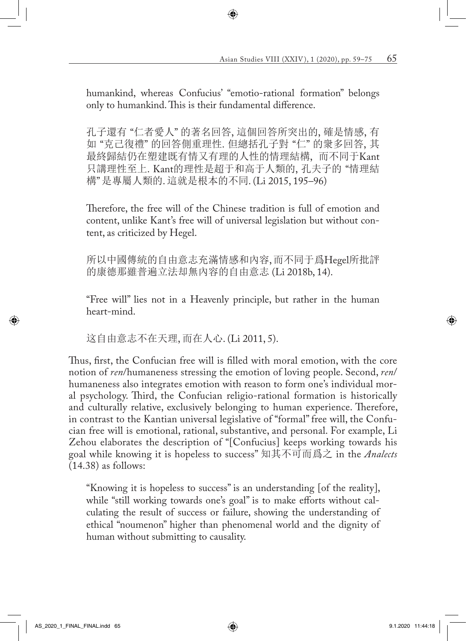humankind, whereas Confucius' "emotio-rational formation" belongs only to humankind. This is their fundamental difference.

孔子還有 "仁者愛人" 的著名回答, 這個回答所突出的, 確是情感, 有 如 "克己復禮" 的回答側重理性. 但總括孔子對 "仁" 的衆多回答, 其 最終歸結仍在塑建既有情又有理的人性的情理結構, 而不同于Kant 只講理性至上. Kant的理性是超于和高于人類的, 孔夫子的 "情理結 構" 是專屬人類的. 這就是根本的不同. (Li 2015, 195–96)

Therefore, the free will of the Chinese tradition is full of emotion and content, unlike Kant's free will of universal legislation but without content, as criticized by Hegel.

所以中國傳統的自由意志充滿情感和內容, 而不同于爲Hegel所批評 的康德那雖普遍立法却無內容的自由意志 (Li 2018b, 14).

"Free will" lies not in a Heavenly principle, but rather in the human heart-mind.

这自由意志不在天理, 而在人心. (Li 2011, 5).

Thus, first, the Confucian free will is filled with moral emotion, with the core notion of *ren*/humaneness stressing the emotion of loving people. Second, *ren*/ humaneness also integrates emotion with reason to form one's individual moral psychology. Third, the Confucian religio-rational formation is historically and culturally relative, exclusively belonging to human experience. Therefore, in contrast to the Kantian universal legislative of "formal" free will, the Confucian free will is emotional, rational, substantive, and personal. For example, Li Zehou elaborates the description of "[Confucius] keeps working towards his goal while knowing it is hopeless to success" 知其不可而爲之 in the *Analects* (14.38) as follows:

"Knowing it is hopeless to success" is an understanding [of the reality], while "still working towards one's goal" is to make efforts without calculating the result of success or failure, showing the understanding of ethical "noumenon" higher than phenomenal world and the dignity of human without submitting to causality.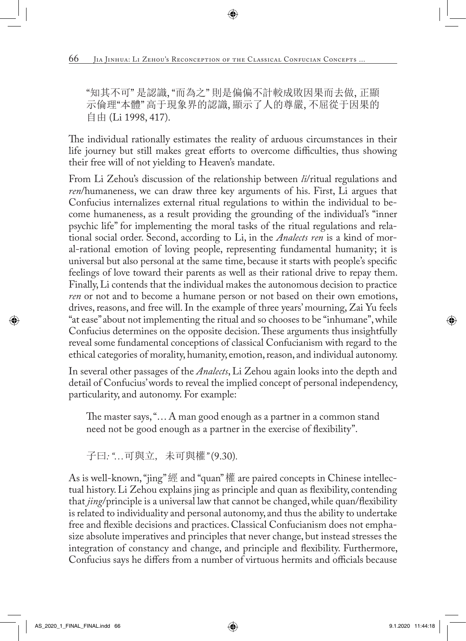"知其不可" 是認識, "而為之" 則是偏偏不計較成敗因果而去做, 正顯 示倫理"本體" 高于現象界的認識, 顯示了人的尊嚴, 不屈從于因果的 自由 (Li 1998, 417).

The individual rationally estimates the reality of arduous circumstances in their life journey but still makes great efforts to overcome difficulties, thus showing their free will of not yielding to Heaven's mandate.

From Li Zehou's discussion of the relationship between *li*/ritual regulations and *ren*/humaneness, we can draw three key arguments of his. First, Li argues that Confucius internalizes external ritual regulations to within the individual to become humaneness, as a result providing the grounding of the individual's "inner psychic life" for implementing the moral tasks of the ritual regulations and relational social order. Second, according to Li, in the *Analects ren* is a kind of moral-rational emotion of loving people, representing fundamental humanity; it is universal but also personal at the same time, because it starts with people's specific feelings of love toward their parents as well as their rational drive to repay them. Finally, Li contends that the individual makes the autonomous decision to practice *ren* or not and to become a humane person or not based on their own emotions, drives, reasons, and free will. In the example of three years' mourning, Zai Yu feels "at ease" about not implementing the ritual and so chooses to be "inhumane", while Confucius determines on the opposite decision. These arguments thus insightfully reveal some fundamental conceptions of classical Confucianism with regard to the ethical categories of morality, humanity, emotion, reason, and individual autonomy.

In several other passages of the *Analects*, Li Zehou again looks into the depth and detail of Confucius' words to reveal the implied concept of personal independency, particularity, and autonomy. For example:

The master says, "… A man good enough as a partner in a common stand need not be good enough as a partner in the exercise of flexibility".

子曰*: "…*可與立, 未可與權*"* (9.30)*.*

As is well-known, "jing" 經 and "quan" 權 are paired concepts in Chinese intellectual history. Li Zehou explains jing as principle and quan as flexibility, contending that *jing*/principle is a universal law that cannot be changed, while quan/flexibility is related to individuality and personal autonomy, and thus the ability to undertake free and flexible decisions and practices. Classical Confucianism does not emphasize absolute imperatives and principles that never change, but instead stresses the integration of constancy and change, and principle and flexibility. Furthermore, Confucius says he differs from a number of virtuous hermits and officials because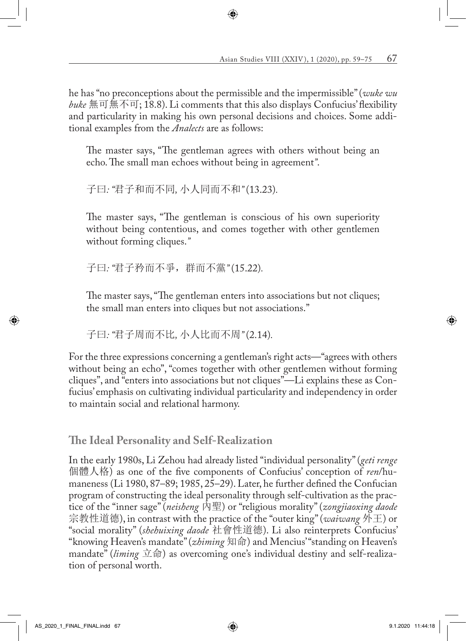he has "no preconceptions about the permissible and the impermissible" (*wuke wu buke* 無可無不可; 18.8). Li comments that this also displays Confucius' flexibility and particularity in making his own personal decisions and choices. Some additional examples from the *Analects* are as follows:

The master says, "The gentleman agrees with others without being an echo. The small man echoes without being in agreement*"*.

子曰*: "*君子和而不同*,* 小人同而不和*"* (13.23)*.*

The master says, "The gentleman is conscious of his own superiority without being contentious, and comes together with other gentlemen without forming cliques.*"*

子曰*: "*君子矜而不爭,群而不黨*"* (15.22)*.*

The master says, "The gentleman enters into associations but not cliques; the small man enters into cliques but not associations."

子曰*: "*君子周而不比*,* 小人比而不周*"* (2.14)*.*

For the three expressions concerning a gentleman's right acts—"agrees with others without being an echo", "comes together with other gentlemen without forming cliques", and "enters into associations but not cliques"—Li explains these as Confucius' emphasis on cultivating individual particularity and independency in order to maintain social and relational harmony.

**The Ideal Personality and Self-Realization**

In the early 1980s, Li Zehou had already listed "individual personality" (*geti renge* 個體人格) as one of the five components of Confucius' conception of *ren*/humaneness (Li 1980, 87–89; 1985, 25–29). Later, he further defined the Confucian program of constructing the ideal personality through self-cultivation as the practice of the "inner sage" (*neisheng* 內聖) or "religious morality" (*zongjiaoxing daode*  宗教性道德), in contrast with the practice of the "outer king" (*waiwang* 外王) or "social morality" (*shehuixing daode* 社會性道德). Li also reinterprets Confucius' "knowing Heaven's mandate" (*zhiming* 知命) and Mencius' "standing on Heaven's mandate" (*liming* 立命) as overcoming one's individual destiny and self-realization of personal worth.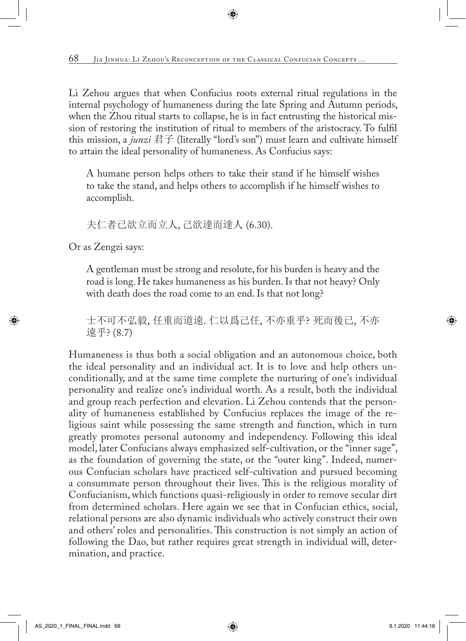Li Zehou argues that when Confucius roots external ritual regulations in the internal psychology of humaneness during the late Spring and Autumn periods, when the Zhou ritual starts to collapse, he is in fact entrusting the historical mission of restoring the institution of ritual to members of the aristocracy. To fulfil this mission, a *junzi* 君子 (literally "lord's son") must learn and cultivate himself to attain the ideal personality of humaneness. As Confucius says:

A humane person helps others to take their stand if he himself wishes to take the stand, and helps others to accomplish if he himself wishes to accomplish.

夫仁者已欲立而立人, 己欲達而達人 (6.30).

Or as Zengzi says:

A gentleman must be strong and resolute, for his burden is heavy and the road is long. He takes humaneness as his burden. Is that not heavy? Only with death does the road come to an end. Is that not long?

士不可不弘毅, 任重而道遠. 仁以爲己任, 不亦重乎? 死而後已, 不亦 遠乎? (8.7)

Humaneness is thus both a social obligation and an autonomous choice, both the ideal personality and an individual act. It is to love and help others unconditionally, and at the same time complete the nurturing of one's individual personality and realize one's individual worth. As a result, both the individual and group reach perfection and elevation. Li Zehou contends that the personality of humaneness established by Confucius replaces the image of the religious saint while possessing the same strength and function, which in turn greatly promotes personal autonomy and independency. Following this ideal model, later Confucians always emphasized self-cultivation, or the "inner sage", as the foundation of governing the state, or the "outer king". Indeed, numerous Confucian scholars have practiced self-cultivation and pursued becoming a consummate person throughout their lives. This is the religious morality of Confucianism, which functions quasi-religiously in order to remove secular dirt from determined scholars. Here again we see that in Confucian ethics, social, relational persons are also dynamic individuals who actively construct their own and others' roles and personalities. This construction is not simply an action of following the Dao, but rather requires great strength in individual will, determination, and practice.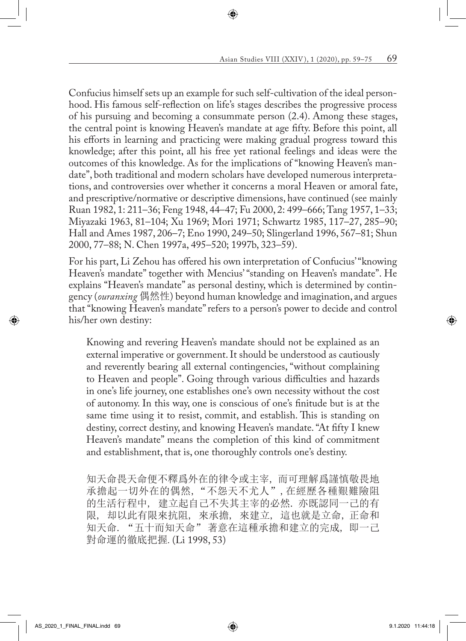Confucius himself sets up an example for such self-cultivation of the ideal personhood. His famous self-reflection on life's stages describes the progressive process of his pursuing and becoming a consummate person (2.4). Among these stages, the central point is knowing Heaven's mandate at age fifty. Before this point, all his efforts in learning and practicing were making gradual progress toward this knowledge; after this point, all his free yet rational feelings and ideas were the outcomes of this knowledge. As for the implications of "knowing Heaven's mandate", both traditional and modern scholars have developed numerous interpretations, and controversies over whether it concerns a moral Heaven or amoral fate, and prescriptive/normative or descriptive dimensions, have continued (see mainly Ruan 1982, 1: 211–36; Feng 1948, 44–47; Fu 2000, 2: 499–666; Tang 1957, 1–33; Miyazaki 1963, 81–104; Xu 1969; Mori 1971; Schwartz 1985, 117–27, 285–90; Hall and Ames 1987, 206–7; Eno 1990, 249–50; Slingerland 1996, 567–81; Shun 2000, 77–88; N. Chen 1997a, 495–520; 1997b, 323–59).

For his part, Li Zehou has offered his own interpretation of Confucius' "knowing Heaven's mandate" together with Mencius' "standing on Heaven's mandate". He explains "Heaven's mandate" as personal destiny, which is determined by contingency (*ouranxing* 偶然性) beyond human knowledge and imagination, and argues that "knowing Heaven's mandate" refers to a person's power to decide and control his/her own destiny:

Knowing and revering Heaven's mandate should not be explained as an external imperative or government. It should be understood as cautiously and reverently bearing all external contingencies, "without complaining to Heaven and people". Going through various difficulties and hazards in one's life journey, one establishes one's own necessity without the cost of autonomy. In this way, one is conscious of one's finitude but is at the same time using it to resist, commit, and establish. This is standing on destiny, correct destiny, and knowing Heaven's mandate. "At fifty I knew Heaven's mandate" means the completion of this kind of commitment and establishment, that is, one thoroughly controls one's destiny.

知天命畏天命便不釋爲外在的律令或主宰, 而可理解爲謹慎敬畏地 承擔起一切外在的偶然, "不怨天不尤人", 在經歷各種艱難險阻 的生活行程中, 建立起自己不失其主宰的必然. 亦既認同一己的有 限, 却以此有限來抗阻, 來承擔, 來建立, 這也就是立命, 正命和 知天命. "五十而知天命" 著意在這種承擔和建立的完成, 即一己 對命運的徹底把握*.* (Li 1998, 53)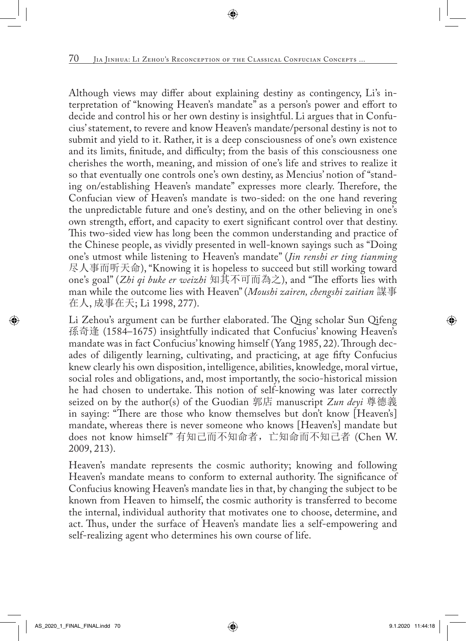Although views may differ about explaining destiny as contingency, Li's interpretation of "knowing Heaven's mandate" as a person's power and effort to decide and control his or her own destiny is insightful. Li argues that in Confucius' statement, to revere and know Heaven's mandate/personal destiny is not to submit and yield to it. Rather, it is a deep consciousness of one's own existence and its limits, finitude, and difficulty; from the basis of this consciousness one cherishes the worth, meaning, and mission of one's life and strives to realize it so that eventually one controls one's own destiny, as Mencius' notion of "standing on/establishing Heaven's mandate" expresses more clearly. Therefore, the Confucian view of Heaven's mandate is two-sided: on the one hand revering the unpredictable future and one's destiny, and on the other believing in one's own strength, effort, and capacity to exert significant control over that destiny. This two-sided view has long been the common understanding and practice of the Chinese people, as vividly presented in well-known sayings such as "Doing one's utmost while listening to Heaven's mandate" (*Jin renshi er ting tianming* 尽人事而听天命), "Knowing it is hopeless to succeed but still working toward one's goal" (*Zhi qi buke er weizhi* 知其不可而為之), and "The efforts lies with man while the outcome lies with Heaven" (*Moushi zairen, chengshi zaitian* 謀事 在人, 成事在天; Li 1998, 277).

Li Zehou's argument can be further elaborated. The Qing scholar Sun Qifeng 孫奇逢 (1584–1675) insightfully indicated that Confucius' knowing Heaven's mandate was in fact Confucius' knowing himself (Yang 1985, 22). Through decades of diligently learning, cultivating, and practicing, at age fifty Confucius knew clearly his own disposition, intelligence, abilities, knowledge, moral virtue, social roles and obligations, and, most importantly, the socio-historical mission he had chosen to undertake. This notion of self-knowing was later correctly seized on by the author(s) of the Guodian 郭店 manuscript *Zun deyi* 尊德義 in saying: "There are those who know themselves but don't know [Heaven's] mandate, whereas there is never someone who knows [Heaven's] mandate but does not know himself" 有知己而不知命者, 亡知命而不知己者 (Chen W. 2009, 213).

Heaven's mandate represents the cosmic authority; knowing and following Heaven's mandate means to conform to external authority. The significance of Confucius knowing Heaven's mandate lies in that, by changing the subject to be known from Heaven to himself, the cosmic authority is transferred to become the internal, individual authority that motivates one to choose, determine, and act. Thus, under the surface of Heaven's mandate lies a self-empowering and self-realizing agent who determines his own course of life.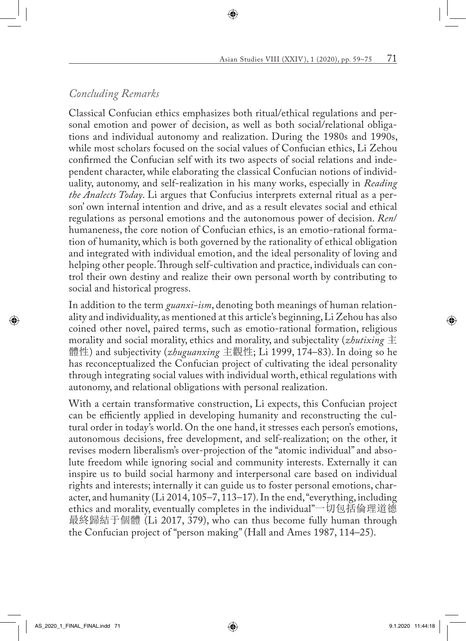# *Concluding Remarks*

Classical Confucian ethics emphasizes both ritual/ethical regulations and personal emotion and power of decision, as well as both social/relational obligations and individual autonomy and realization. During the 1980s and 1990s, while most scholars focused on the social values of Confucian ethics, Li Zehou confirmed the Confucian self with its two aspects of social relations and independent character, while elaborating the classical Confucian notions of individuality, autonomy, and self-realization in his many works, especially in *Reading the Analects Today*. Li argues that Confucius interprets external ritual as a person' own internal intention and drive, and as a result elevates social and ethical regulations as personal emotions and the autonomous power of decision. *Ren*/ humaneness, the core notion of Confucian ethics, is an emotio-rational formation of humanity, which is both governed by the rationality of ethical obligation and integrated with individual emotion, and the ideal personality of loving and helping other people. Through self-cultivation and practice, individuals can control their own destiny and realize their own personal worth by contributing to social and historical progress.

In addition to the term *guanxi-ism*, denoting both meanings of human relationality and individuality, as mentioned at this article's beginning, Li Zehou has also coined other novel, paired terms, such as emotio-rational formation, religious morality and social morality, ethics and morality, and subjectality (*zhutixing* 主 體性) and subjectivity (*zhuguanxing* 主觀性; Li 1999, 174–83). In doing so he has reconceptualized the Confucian project of cultivating the ideal personality through integrating social values with individual worth, ethical regulations with autonomy, and relational obligations with personal realization.

With a certain transformative construction, Li expects, this Confucian project can be efficiently applied in developing humanity and reconstructing the cultural order in today's world. On the one hand, it stresses each person's emotions, autonomous decisions, free development, and self-realization; on the other, it revises modern liberalism's over-projection of the "atomic individual" and absolute freedom while ignoring social and community interests. Externally it can inspire us to build social harmony and interpersonal care based on individual rights and interests; internally it can guide us to foster personal emotions, character, and humanity (Li 2014, 105–7, 113–17). In the end, "everything, including ethics and morality, eventually completes in the individual"一切包括倫理道德 最終歸結于個體 (Li 2017, 379), who can thus become fully human through the Confucian project of "person making" (Hall and Ames 1987, 114–25).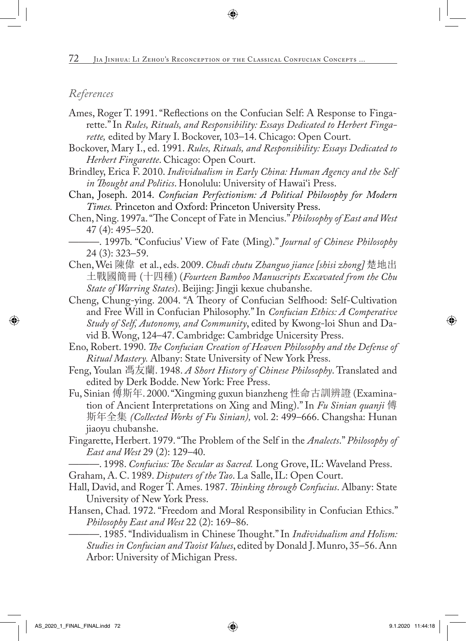#### *References*

- Ames, Roger T. 1991. "Reflections on the Confucian Self: A Response to Fingarette." In *Rules, Rituals, and Responsibility: Essays Dedicated to Herbert Fingarette,* edited by Mary I. Bockover, 103–14. Chicago: Open Court.
- Bockover, Mary I., ed. 1991. *Rules, Rituals, and Responsibility: Essays Dedicated to Herbert Fingarette*. Chicago: Open Court.
- Brindley, Erica F. 2010. *Individualism in Early China: Human Agency and the Self in Thought and Politics*. Honolulu: University of Hawai'i Press.
- Chan, Joseph. 2014. *Confucian Perfectionism: A Political Philosophy for Modern Times.* Princeton and Oxford: Princeton University Press.
- Chen, Ning. 1997a. "The Concept of Fate in Mencius." *Philosophy of East and West*  47 (4): 495–520.
	- ———. 1997b. "Confucius' View of Fate (Ming)." *Journal of Chinese Philosophy*  24 (3): 323–59.
- Chen, Wei 陳偉 et al., eds. 2009. *Chudi chutu Zhanguo jiance [shisi zhong]* 楚地出 土戰國簡冊 (十四種) (*Fourteen Bamboo Manuscripts Excavated from the Chu State of Warring States*). Beijing: Jingji kexue chubanshe.
- Cheng, Chung-ying. 2004. "A Theory of Confucian Selfhood: Self-Cultivation and Free Will in Confucian Philosophy." In *Confucian Ethics: A Comperative Study of Self, Autonomy, and Community*, edited by Kwong-loi Shun and David B. Wong, 124–47. Cambridge: Cambridge Unicersity Press.
- Eno, Robert. 1990. *The Confucian Creation of Heaven Philosophy and the Defense of Ritual Mastery.* Albany: State University of New York Press.
- Feng, Youlan 馮友蘭. 1948. *A Short History of Chinese Philosophy*. Translated and edited by Derk Bodde. New York: Free Press.
- Fu, Sinian 傅斯年. 2000. "Xingming guxun bianzheng 性命古訓辨證 (Examination of Ancient Interpretations on Xing and Ming)." In *Fu Sinian quanji* 傅 斯年全集 *(Collected Works of Fu Sinian),* vol. 2: 499–666. Changsha: Hunan jiaoyu chubanshe.
- Fingarette, Herbert. 1979. "The Problem of the Self in the *Analects*." *Philosophy of East and West* 29 (2): 129–40.
- ———. 1998. *Confucius: The Secular as Sacred.* Long Grove, IL: Waveland Press.
- Graham, A. C. 1989. *Disputers of the Tao*. La Salle, IL: Open Court.
- Hall, David, and Roger T. Ames. 1987. *Thinking through Confucius*. Albany: State University of New York Press.
- Hansen, Chad. 1972. "Freedom and Moral Responsibility in Confucian Ethics." *Philosophy East and West* 22 (2): 169–86.

———. 1985. "Individualism in Chinese Thought." In *Individualism and Holism: Studies in Confucian and Taoist Values*, edited by Donald J. Munro, 35–56. Ann Arbor: University of Michigan Press.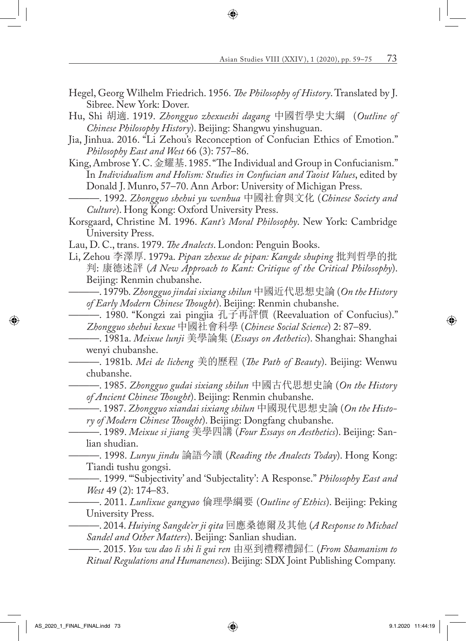- Hegel, Georg Wilhelm Friedrich. 1956. *The Philosophy of History*. Translated by J. Sibree. New York: Dover.
- Hu, Shi 胡適. 1919. *Zhongguo zhexueshi dagang* 中國哲學史大綱 (*Outline of Chinese Philosophy History*). Beijing: Shangwu yinshuguan.
- Jia, Jinhua. 2016. "Li Zehou's Reconception of Confucian Ethics of Emotion." *Philosophy East and West* 66 (3): 757–86.
- King, Ambrose Y. C. 金耀基. 1985. "The Individual and Group in Confucianism." In *Individualism and Holism: Studies in Confucian and Taoist Values*, edited by Donald J. Munro, 57–70. Ann Arbor: University of Michigan Press.
- ———. 1992. *Zhongguo shehui yu wenhua* 中國社會與文化 (*Chinese Society and Culture*). Hong Kong: Oxford University Press.
- Korsgaard, Christine M. 1996. *Kant's Moral Philosophy*. New York: Cambridge University Press.
- Lau, D. C., trans. 1979. *The Analects*. London: Penguin Books.
- Li, Zehou 李澤厚. 1979a. *Pipan zhexue de pipan: Kangde shuping* 批判哲學的批 判: 康德述評 (*A New Approach to Kant: Critique of the Critical Philosophy*). Beijing: Renmin chubanshe.
	- ———. 1979b. *Zhongguo jindai sixiang shilun* 中國近代思想史論 (*On the History of Early Modern Chinese Thought*). Beijing: Renmin chubanshe.
	- ———. 1980. "Kongzi zai pingjia 孔子再評價 (Reevaluation of Confucius)." *Zhongguo shehui kexue* 中國社會科學 (*Chinese Social Science*) 2: 87–89.
	- ———. 1981a. *Meixue lunji* 美學論集 (*Essays on Aethetics*). Shanghai: Shanghai wenyi chubanshe.
	- ———. 1981b. *Mei de licheng* 美的歷程 (*The Path of Beauty*). Beijing: Wenwu chubanshe.
		- ———. 1985. *Zhongguo gudai sixiang shilun* 中國古代思想史論 (*On the History of Ancient Chinese Thought*). Beijing: Renmin chubanshe.
	- ———. 1987. *Zhongguo xiandai sixiang shilun* 中國現代思想史論 (*On the History of Modern Chinese Thought*). Beijing: Dongfang chubanshe.
	- ———. 1989. *Meixue si jiang* 美學四講 (*Four Essays on Aesthetics*). Beijing: Sanlian shudian.
	- ———. 1998. *Lunyu jindu* 論語今讀 (*Reading the Analects Today*). Hong Kong: Tiandi tushu gongsi.
		- ———. 1999. "'Subjectivity' and 'Subjectality': A Response." *Philosophy East and West* 49 (2): 174–83.
		- ———. 2011. *Lunlixue gangyao* 倫理學綱要 (*Outline of Ethics*). Beijing: Peking University Press.
		- ———. 2014. *Huiying Sangde'er ji qita* 回應桑德爾及其他 (*A Response to Michael Sandel and Other Matters*). Beijing: Sanlian shudian.
		- ———. 2015. *You wu dao li shi li gui ren* 由巫到禮釋禮歸仁 (*From Shamanism to Ritual Regulations and Humaneness*). Beijing: SDX Joint Publishing Company.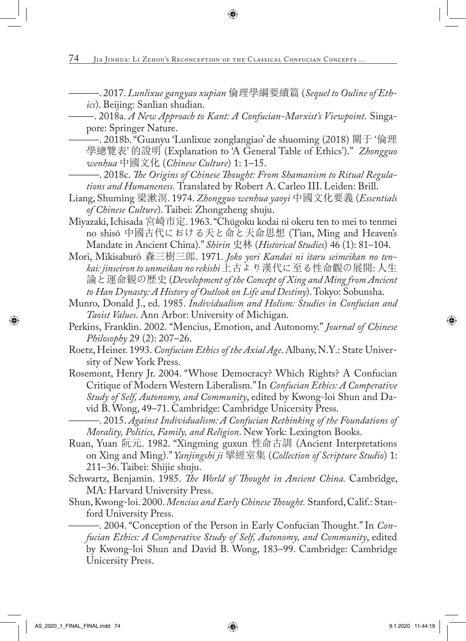———. 2017. *Lunlixue gangyao xupian* 倫理學綱要續篇 (*Sequel to Ouline of Ethics*). Beijing: Sanlian shudian.

–––—. 2018a. *A New Approach to Kant: A Confucian-Marxist's Viewpoint.* Singapore: Springer Nature.

———. 2018b. "Guanyu 'Lunlixue zonglangiao' de shuoming (2018) 關于 '倫理 學總覽表' 的說明 (Explanation to 'A General Table of Ethics')." *Zhongguo wenhua* 中國文化 (*Chinese Culture*) 1: 1–15.

- ———. 2018c. *The Origins of Chinese Thought: From Shamanism to Ritual Regulations and Humaneness.* Translated by Robert A. Carleo III. Leiden: Brill.
- Liang, Shuming 梁漱溟. 1974. *Zhongguo wenhua yaoyi* 中國文化要義 (*Essentials of Chinese Culture*). Taibei: Zhongzheng shuju.
- Miyazaki, Ichisada 宮崎市定. 1963. "Chūgoku kodai ni okeru ten to mei to tenmei no shisō 中國古代における天と命と天命思想 (Tian, Ming and Heaven's Mandate in Ancient China)." *Shirin* 史林 (*Historical Studies*) 46 (1): 81–104.
- Mori, Mikisaburô 森三樹三郎. 1971. *Joko yori Kandai ni itaru seimeikan no tenkai: jinseiron to unmeikan no rekishi* 上古より漢代に至る性命觀の展開: 人生 論と運命観の歴史 (*Development of the Concept of Xing and Ming from Ancient to Han Dynasty: A History of Outlook on Life and Destiny*). Tokyo: Sobunsha.
- Munro, Donald J., ed. 1985. *Individualism and Holism: Studies in Confucian and Taoist Values*. Ann Arbor: University of Michigan.
- Perkins, Franklin. 2002. "Mencius, Emotion, and Autonomy." *Journal of Chinese Philosophy* 29 (2): 207–26.
- Roetz, Heiner. 1993. *Confucian Ethics of the Axial Age*. Albany, N.Y.: State University of New York Press.
- Rosemont, Henry Jr. 2004. "Whose Democracy? Which Rights? A Confucian Critique of Modern Western Liberalism." In *Confucian Ethics: A Comperative Study of Self, Autonomy, and Community*, edited by Kwong-loi Shun and David B. Wong, 49–71. Cambridge: Cambridge Unicersity Press.
	- ———. 2015. *Against Individualism: A Confucian Rethinking of the Foundations of Morality, Politics, Family, and Religion*. New York: Lexington Books.
- Ruan, Yuan 阮元. 1982. "Xingming guxun 性命古訓 (Ancient Interpretations on Xing and Ming)." *Yanjingshi ji* 揅經室集 (*Collection of Scripture Studio*) 1: 211–36. Taibei: Shijie shuju.
- Schwartz, Benjamin. 1985. *The World of Thought in Ancient China.* Cambridge, MA: Harvard University Press.
- Shun, Kwong-loi. 2000. *Mencius and Early Chinese Thought.* Stanford, Calif.: Stanford University Press.

———. 2004. "Conception of the Person in Early Confucian Thought." In *Confucian Ethics: A Comperative Study of Self, Autonomy, and Community*, edited by Kwong-loi Shun and David B. Wong, 183–99. Cambridge: Cambridge Unicersity Press.